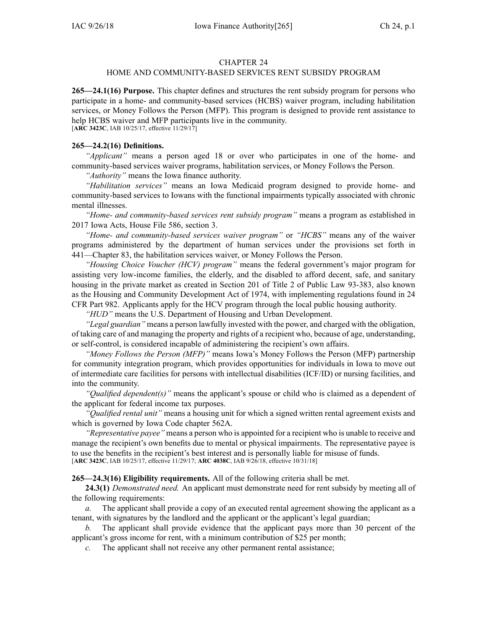#### CHAPTER 24

## HOME AND COMMUNITY-BASED SERVICES RENT SUBSIDY PROGRAM

**265—24.1(16) Purpose.** This chapter defines and structures the rent subsidy program for persons who participate in <sup>a</sup> home- and community-based services (HCBS) waiver program, including habilitation services, or Money Follows the Person (MFP). This program is designed to provide rent assistance to help HCBS waiver and MFP participants live in the community. [**ARC [3423C](https://www.legis.iowa.gov/docs/aco/arc/3423C.pdf)**, IAB 10/25/17, effective 11/29/17]

**265—24.2(16) Definitions.**

*"Applicant"* means <sup>a</sup> person aged 18 or over who participates in one of the home- and community-based services waiver programs, habilitation services, or Money Follows the Person.

*"Authority"* means the Iowa finance authority.

*"Habilitation services"* means an Iowa Medicaid program designed to provide home- and community-based services to Iowans with the functional impairments typically associated with chronic mental illnesses.

*"Home- and community-based services rent subsidy program"* means <sup>a</sup> program as established in 2017 Iowa Acts, House File 586, section 3.

*"Home- and community-based services waiver program"* or *"HCBS"* means any of the waiver programs administered by the department of human services under the provisions set forth in [441—Chapter](https://www.legis.iowa.gov/docs/iac/chapter/441.83.pdf) 83, the habilitation services waiver, or Money Follows the Person.

*"Housing Choice Voucher (HCV) program"* means the federal government's major program for assisting very low-income families, the elderly, and the disabled to afford decent, safe, and sanitary housing in the private market as created in Section 201 of Title 2 of Public Law 93-383, also known as the Housing and Community Development Act of 1974, with implementing regulations found in 24 CFR Part 982. Applicants apply for the HCV program through the local public housing authority.

*"HUD"* means the U.S. Department of Housing and Urban Development.

*"Legal guardian"* means <sup>a</sup> person lawfully invested with the power, and charged with the obligation, of taking care of and managing the property and rights of <sup>a</sup> recipient who, because of age, understanding, or self-control, is considered incapable of administering the recipient's own affairs.

*"Money Follows the Person (MFP)"* means Iowa's Money Follows the Person (MFP) partnership for community integration program, which provides opportunities for individuals in Iowa to move out of intermediate care facilities for persons with intellectual disabilities (ICF/ID) or nursing facilities, and into the community.

*"Qualified dependent(s)"* means the applicant's spouse or child who is claimed as <sup>a</sup> dependent of the applicant for federal income tax purposes.

*"Qualified rental unit"* means <sup>a</sup> housing unit for which <sup>a</sup> signed written rental agreemen<sup>t</sup> exists and which is governed by Iowa Code chapter [562A](https://www.legis.iowa.gov/docs/ico/chapter/562A.pdf).

*"Representative payee"* means <sup>a</sup> person who is appointed for <sup>a</sup> recipient who is unable to receive and manage the recipient's own benefits due to mental or physical impairments. The representative payee is to use the benefits in the recipient's best interest and is personally liable for misuse of funds. [**ARC [3423C](https://www.legis.iowa.gov/docs/aco/arc/3423C.pdf)**, IAB 10/25/17, effective 11/29/17; **ARC [4038C](https://www.legis.iowa.gov/docs/aco/arc/4038C.pdf)**, IAB 9/26/18, effective 10/31/18]

**265—24.3(16) Eligibility requirements.** All of the following criteria shall be met.

**24.3(1)** *Demonstrated need.* An applicant must demonstrate need for rent subsidy by meeting all of the following requirements:

*a.* The applicant shall provide <sup>a</sup> copy of an executed rental agreemen<sup>t</sup> showing the applicant as <sup>a</sup> tenant, with signatures by the landlord and the applicant or the applicant's legal guardian;

*b.* The applicant shall provide evidence that the applicant pays more than 30 percen<sup>t</sup> of the applicant's gross income for rent, with <sup>a</sup> minimum contribution of \$25 per month;

*c.* The applicant shall not receive any other permanen<sup>t</sup> rental assistance;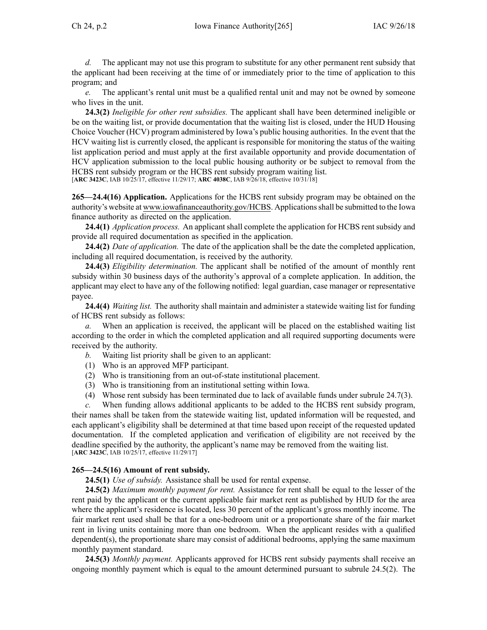*d.* The applicant may not use this program to substitute for any other permanen<sup>t</sup> rent subsidy that the applicant had been receiving at the time of or immediately prior to the time of application to this program; and

*e.* The applicant's rental unit must be <sup>a</sup> qualified rental unit and may not be owned by someone who lives in the unit.

**24.3(2)** *Ineligible for other rent subsidies.* The applicant shall have been determined ineligible or be on the waiting list, or provide documentation that the waiting list is closed, under the HUD Housing Choice Voucher (HCV) program administered by Iowa's public housing authorities. In the event that the HCV waiting list is currently closed, the applicant is responsible for monitoring the status of the waiting list application period and must apply at the first available opportunity and provide documentation of HCV application submission to the local public housing authority or be subject to removal from the HCBS rent subsidy program or the HCBS rent subsidy program waiting list. [**ARC [3423C](https://www.legis.iowa.gov/docs/aco/arc/3423C.pdf)**, IAB 10/25/17, effective 11/29/17; **ARC [4038C](https://www.legis.iowa.gov/docs/aco/arc/4038C.pdf)**, IAB 9/26/18, effective 10/31/18]

**265—24.4(16) Application.** Applications for the HCBS rent subsidy program may be obtained on the authority's website at [www.iowafinanceauthority.gov/HCBS](http://www.iowafinanceauthority.gov/HCBS). Applicationsshall be submitted to the Iowa finance authority as directed on the application.

**24.4(1)** *Application process.* An applicant shall complete the application for HCBS rent subsidy and provide all required documentation as specified in the application.

**24.4(2)** *Date of application.* The date of the application shall be the date the completed application, including all required documentation, is received by the authority.

**24.4(3)** *Eligibility determination.* The applicant shall be notified of the amount of monthly rent subsidy within 30 business days of the authority's approval of <sup>a</sup> complete application. In addition, the applicant may elect to have any of the following notified: legal guardian, case manager or representative payee.

**24.4(4)** *Waiting list.* The authority shall maintain and administer <sup>a</sup> statewide waiting list for funding of HCBS rent subsidy as follows:

*a.* When an application is received, the applicant will be placed on the established waiting list according to the order in which the completed application and all required supporting documents were received by the authority.

- *b.* Waiting list priority shall be given to an applicant:
- (1) Who is an approved MFP participant.
- (2) Who is transitioning from an out-of-state institutional placement.
- (3) Who is transitioning from an institutional setting within Iowa.
- (4) Whose rent subsidy has been terminated due to lack of available funds under subrule 24.7(3).

*c.* When funding allows additional applicants to be added to the HCBS rent subsidy program, their names shall be taken from the statewide waiting list, updated information will be requested, and each applicant's eligibility shall be determined at that time based upon receipt of the requested updated documentation. If the completed application and verification of eligibility are not received by the deadline specified by the authority, the applicant's name may be removed from the waiting list. [**ARC [3423C](https://www.legis.iowa.gov/docs/aco/arc/3423C.pdf)**, IAB 10/25/17, effective 11/29/17]

### **265—24.5(16) Amount of rent subsidy.**

**24.5(1)** *Use of subsidy.* Assistance shall be used for rental expense.

**24.5(2)** *Maximum monthly paymen<sup>t</sup> for rent.* Assistance for rent shall be equal to the lesser of the rent paid by the applicant or the current applicable fair market rent as published by HUD for the area where the applicant's residence is located, less 30 percen<sup>t</sup> of the applicant's gross monthly income. The fair market rent used shall be that for <sup>a</sup> one-bedroom unit or <sup>a</sup> proportionate share of the fair market rent in living units containing more than one bedroom. When the applicant resides with <sup>a</sup> qualified dependent(s), the proportionate share may consist of additional bedrooms, applying the same maximum monthly paymen<sup>t</sup> standard.

**24.5(3)** *Monthly payment.* Applicants approved for HCBS rent subsidy payments shall receive an ongoing monthly paymen<sup>t</sup> which is equal to the amount determined pursuan<sup>t</sup> to subrule [24.5\(2\)](https://www.legis.iowa.gov/docs/iac/rule/265.24.5.pdf). The